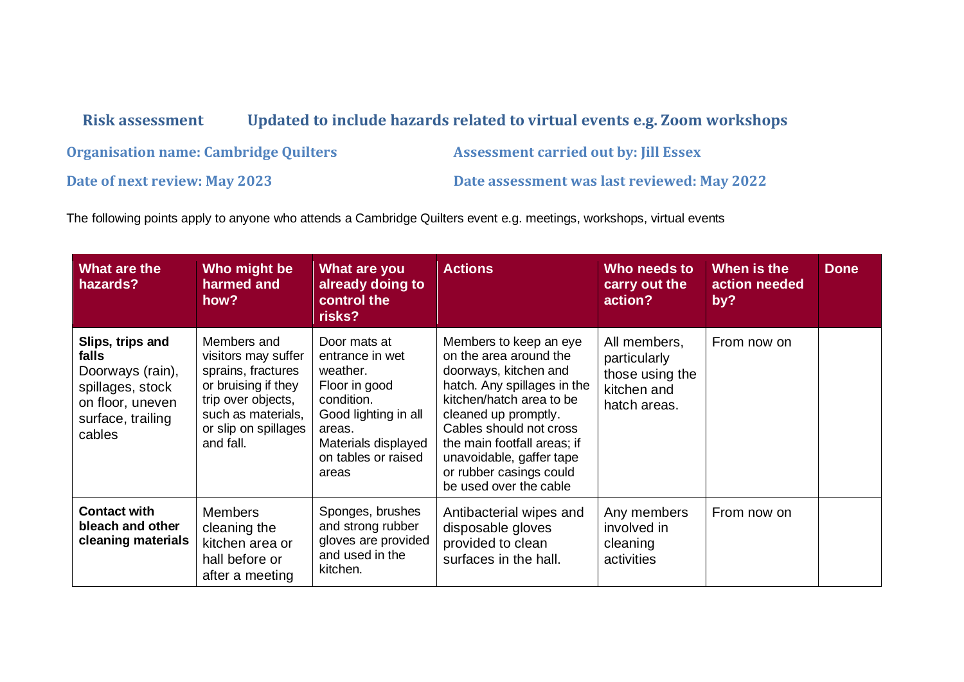## **Risk assessment Updated to include hazards related to virtual events e.g. Zoom workshops**

**Organisation name: Cambridge Quilters <b>Assessment carried out by: Jill Essex** 

**Date of next review: May 2023 Date assessment was last reviewed: May 2022**

The following points apply to anyone who attends a Cambridge Quilters event e.g. meetings, workshops, virtual events

| What are the<br>hazards?                                                                                             | Who might be<br>harmed and<br>how?                                                                                                                               | What are you<br>already doing to<br>control the<br>risks?                                                                                                           | <b>Actions</b>                                                                                                                                                                                                                                                                                          | Who needs to<br>carry out the<br>action?                                       | When is the<br>action needed<br>by? | <b>Done</b> |
|----------------------------------------------------------------------------------------------------------------------|------------------------------------------------------------------------------------------------------------------------------------------------------------------|---------------------------------------------------------------------------------------------------------------------------------------------------------------------|---------------------------------------------------------------------------------------------------------------------------------------------------------------------------------------------------------------------------------------------------------------------------------------------------------|--------------------------------------------------------------------------------|-------------------------------------|-------------|
| Slips, trips and<br>falls<br>Doorways (rain),<br>spillages, stock<br>on floor, uneven<br>surface, trailing<br>cables | Members and<br>visitors may suffer<br>sprains, fractures<br>or bruising if they<br>trip over objects,<br>such as materials,<br>or slip on spillages<br>and fall. | Door mats at<br>entrance in wet<br>weather.<br>Floor in good<br>condition.<br>Good lighting in all<br>areas.<br>Materials displayed<br>on tables or raised<br>areas | Members to keep an eye<br>on the area around the<br>doorways, kitchen and<br>hatch. Any spillages in the<br>kitchen/hatch area to be<br>cleaned up promptly.<br>Cables should not cross<br>the main footfall areas; if<br>unavoidable, gaffer tape<br>or rubber casings could<br>be used over the cable | All members,<br>particularly<br>those using the<br>kitchen and<br>hatch areas. | From now on                         |             |
| <b>Contact with</b><br>bleach and other<br>cleaning materials                                                        | <b>Members</b><br>cleaning the<br>kitchen area or<br>hall before or<br>after a meeting                                                                           | Sponges, brushes<br>and strong rubber<br>gloves are provided<br>and used in the<br>kitchen.                                                                         | Antibacterial wipes and<br>disposable gloves<br>provided to clean<br>surfaces in the hall.                                                                                                                                                                                                              | Any members<br>involved in<br>cleaning<br>activities                           | From now on                         |             |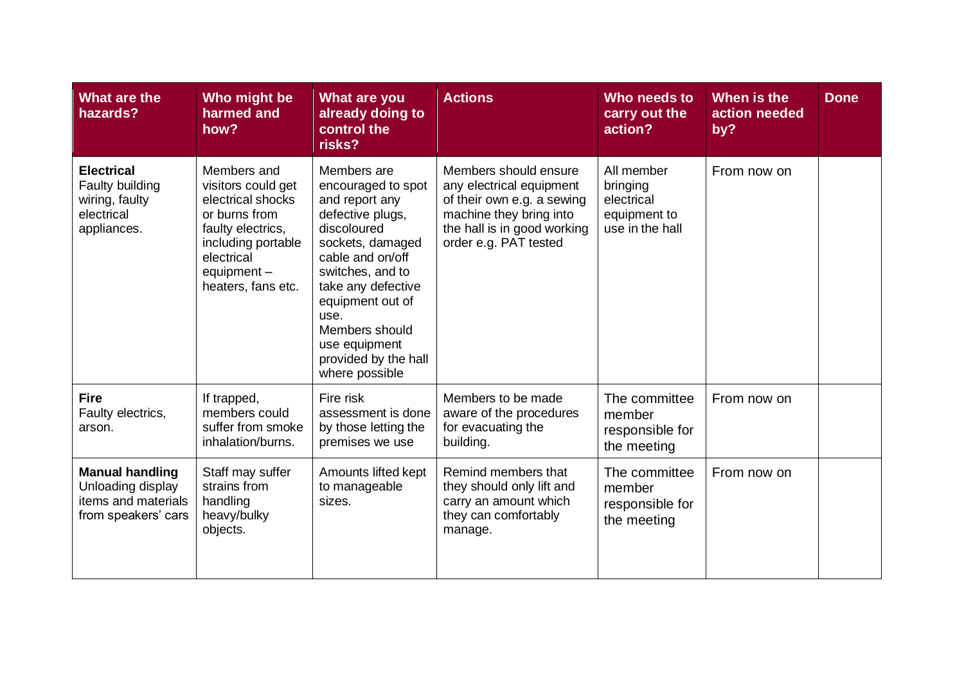| What are the<br>hazards?                                                                  | Who might be<br>harmed and<br>how?                                                                                                                                      | What are you<br>already doing to<br>control the<br>risks?                                                                                                                                                                                                                         | <b>Actions</b>                                                                                                                                                     | Who needs to<br>carry out the<br>action?                                | When is the<br>action needed<br>by? | <b>Done</b> |
|-------------------------------------------------------------------------------------------|-------------------------------------------------------------------------------------------------------------------------------------------------------------------------|-----------------------------------------------------------------------------------------------------------------------------------------------------------------------------------------------------------------------------------------------------------------------------------|--------------------------------------------------------------------------------------------------------------------------------------------------------------------|-------------------------------------------------------------------------|-------------------------------------|-------------|
| <b>Electrical</b><br>Faulty building<br>wiring, faulty<br>electrical<br>appliances.       | Members and<br>visitors could get<br>electrical shocks<br>or burns from<br>faulty electrics,<br>including portable<br>electrical<br>equipment $-$<br>heaters, fans etc. | Members are<br>encouraged to spot<br>and report any<br>defective plugs,<br>discoloured<br>sockets, damaged<br>cable and on/off<br>switches, and to<br>take any defective<br>equipment out of<br>use.<br>Members should<br>use equipment<br>provided by the hall<br>where possible | Members should ensure<br>any electrical equipment<br>of their own e.g. a sewing<br>machine they bring into<br>the hall is in good working<br>order e.g. PAT tested | All member<br>bringing<br>electrical<br>equipment to<br>use in the hall | From now on                         |             |
| <b>Fire</b><br>Faulty electrics,<br>arson.                                                | If trapped,<br>members could<br>suffer from smoke<br>inhalation/burns.                                                                                                  | Fire risk<br>assessment is done<br>by those letting the<br>premises we use                                                                                                                                                                                                        | Members to be made<br>aware of the procedures<br>for evacuating the<br>building.                                                                                   | The committee<br>member<br>responsible for<br>the meeting               | From now on                         |             |
| <b>Manual handling</b><br>Unloading display<br>items and materials<br>from speakers' cars | Staff may suffer<br>strains from<br>handling<br>heavy/bulky<br>objects.                                                                                                 | Amounts lifted kept<br>to manageable<br>sizes.                                                                                                                                                                                                                                    | Remind members that<br>they should only lift and<br>carry an amount which<br>they can comfortably<br>manage.                                                       | The committee<br>member<br>responsible for<br>the meeting               | From now on                         |             |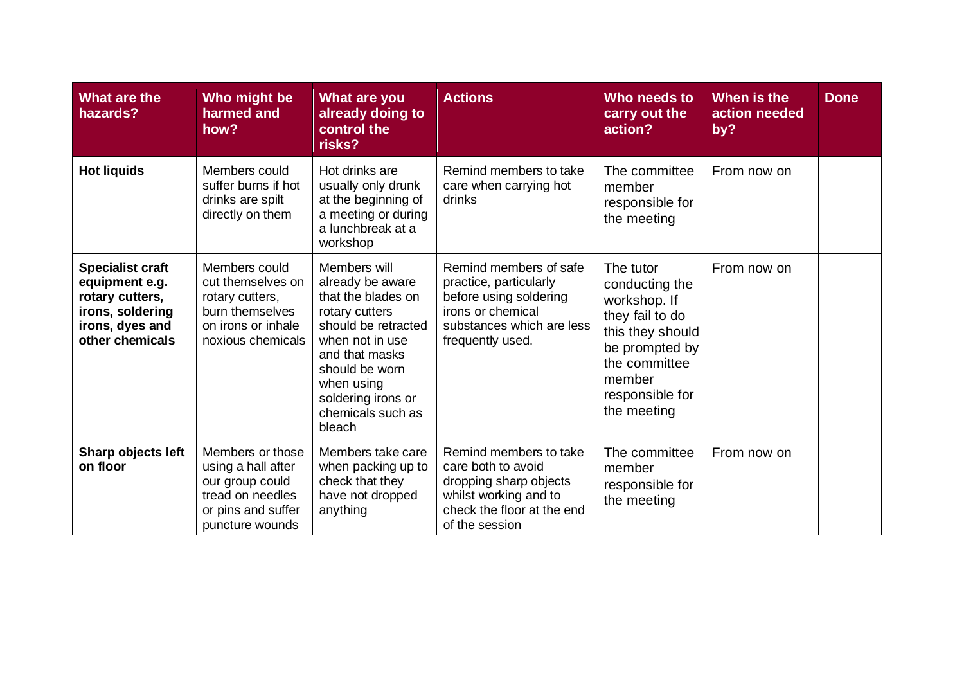| What are the<br>hazards?                                                                                               | Who might be<br>harmed and<br>how?                                                                                     | What are you<br>already doing to<br>control the<br>risks?                                                                                                                                                                 | <b>Actions</b>                                                                                                                                   | Who needs to<br>carry out the<br>action?                                                                                                                          | When is the<br>action needed<br>by? | <b>Done</b> |
|------------------------------------------------------------------------------------------------------------------------|------------------------------------------------------------------------------------------------------------------------|---------------------------------------------------------------------------------------------------------------------------------------------------------------------------------------------------------------------------|--------------------------------------------------------------------------------------------------------------------------------------------------|-------------------------------------------------------------------------------------------------------------------------------------------------------------------|-------------------------------------|-------------|
| <b>Hot liquids</b>                                                                                                     | Members could<br>suffer burns if hot<br>drinks are spilt<br>directly on them                                           | Hot drinks are<br>usually only drunk<br>at the beginning of<br>a meeting or during<br>a lunchbreak at a<br>workshop                                                                                                       | Remind members to take<br>care when carrying hot<br>drinks                                                                                       | The committee<br>member<br>responsible for<br>the meeting                                                                                                         | From now on                         |             |
| <b>Specialist craft</b><br>equipment e.g.<br>rotary cutters,<br>irons, soldering<br>irons, dyes and<br>other chemicals | Members could<br>cut themselves on<br>rotary cutters,<br>burn themselves<br>on irons or inhale<br>noxious chemicals    | Members will<br>already be aware<br>that the blades on<br>rotary cutters<br>should be retracted<br>when not in use<br>and that masks<br>should be worn<br>when using<br>soldering irons or<br>chemicals such as<br>bleach | Remind members of safe<br>practice, particularly<br>before using soldering<br>irons or chemical<br>substances which are less<br>frequently used. | The tutor<br>conducting the<br>workshop. If<br>they fail to do<br>this they should<br>be prompted by<br>the committee<br>member<br>responsible for<br>the meeting | From now on                         |             |
| Sharp objects left<br>on floor                                                                                         | Members or those<br>using a hall after<br>our group could<br>tread on needles<br>or pins and suffer<br>puncture wounds | Members take care<br>when packing up to<br>check that they<br>have not dropped<br>anything                                                                                                                                | Remind members to take<br>care both to avoid<br>dropping sharp objects<br>whilst working and to<br>check the floor at the end<br>of the session  | The committee<br>member<br>responsible for<br>the meeting                                                                                                         | From now on                         |             |